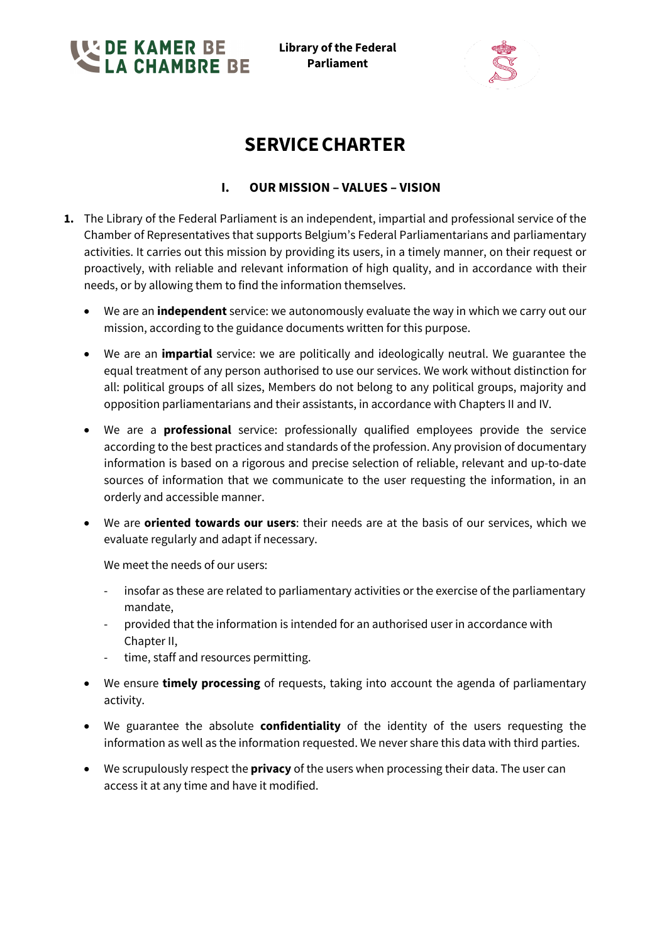**EDE KAMER BE<br>LLA CHAMBRE BE** 

**Library of the Federal Parliament**



# **SERVICECHARTER**

# **I. OUR MISSION – VALUES – VISION**

- **1.** The Library of the Federal Parliament is an independent, impartial and professional service of the Chamber of Representatives that supports Belgium's Federal Parliamentarians and parliamentary activities. It carries out this mission by providing its users, in a timely manner, on their request or proactively, with reliable and relevant information of high quality, and in accordance with their needs, or by allowing them to find the information themselves.
	- We are an **independent** service: we autonomously evaluate the way in which we carry out our mission, according to the guidance documents written for this purpose.
	- We are an **impartial** service: we are politically and ideologically neutral. We guarantee the equal treatment of any person authorised to use our services. We work without distinction for all: political groups of all sizes, Members do not belong to any political groups, majority and opposition parliamentarians and their assistants, in accordance with Chapters II and IV.
	- We are a **professional** service: professionally qualified employees provide the service according to the best practices and standards of the profession. Any provision of documentary information is based on a rigorous and precise selection of reliable, relevant and up-to-date sources of information that we communicate to the user requesting the information, in an orderly and accessible manner.
	- We are **oriented towards our users**: their needs are at the basis of our services, which we evaluate regularly and adapt if necessary.

We meet the needs of our users:

- insofar as these are related to parliamentary activities or the exercise of the parliamentary mandate,
- provided that the information is intended for an authorised user in accordance with Chapter II,
- time, staff and resources permitting.
- We ensure **timely processing** of requests, taking into account the agenda of parliamentary activity.
- We guarantee the absolute **confidentiality** of the identity of the users requesting the information as well as the information requested. We never share this data with third parties.
- We scrupulously respect the **privacy** of the users when processing their data. The user can access it at any time and have it modified.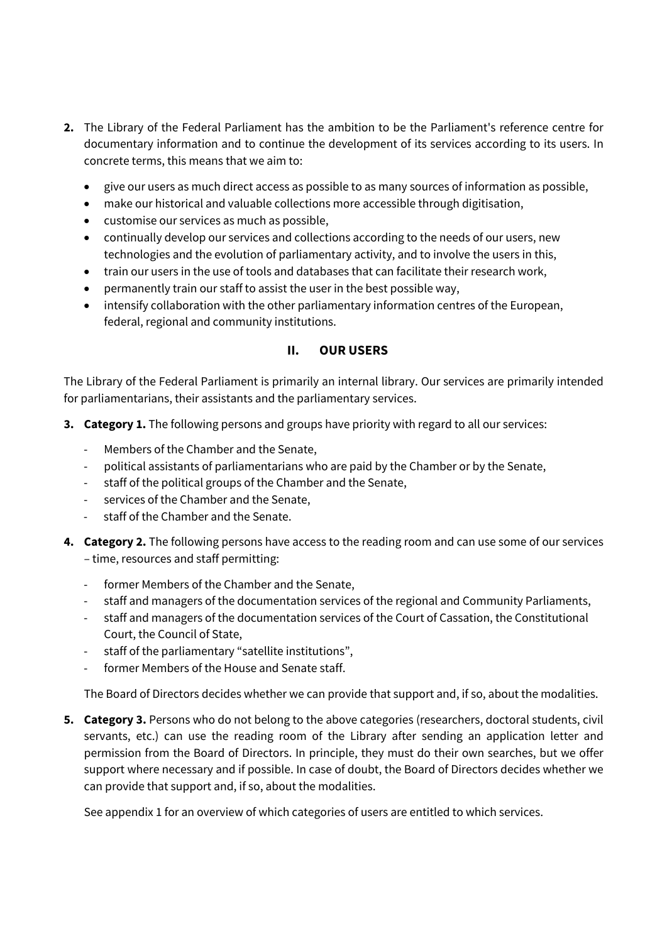- **2.** The Library of the Federal Parliament has the ambition to be the Parliament's reference centre for documentary information and to continue the development of its services according to its users. In concrete terms, this means that we aim to:
	- give our users as much direct access as possible to as many sources of information as possible,
	- make our historical and valuable collections more accessible through digitisation,
	- customise our services as much as possible,
	- continually develop our services and collections according to the needs of our users, new technologies and the evolution of parliamentary activity, and to involve the users in this,
	- train our users in the use of tools and databases that can facilitate their research work,
	- permanently train our staff to assist the user in the best possible way,
	- intensify collaboration with the other parliamentary information centres of the European, federal, regional and community institutions.

## **II. OUR USERS**

The Library of the Federal Parliament is primarily an internal library. Our services are primarily intended for parliamentarians, their assistants and the parliamentary services.

- **3. Category 1.** The following persons and groups have priority with regard to all our services:
	- Members of the Chamber and the Senate,
	- political assistants of parliamentarians who are paid by the Chamber or by the Senate,
	- staff of the political groups of the Chamber and the Senate,
	- services of the Chamber and the Senate,
	- staff of the Chamber and the Senate.
- **4. Category 2.** The following persons have access to the reading room and can use some of our services – time, resources and staff permitting:
	- former Members of the Chamber and the Senate,
	- staff and managers of the documentation services of the regional and Community Parliaments,
	- staff and managers of the documentation services of the Court of Cassation, the Constitutional Court, the Council of State,
	- staff of the parliamentary "satellite institutions",
	- former Members of the House and Senate staff.

The Board of Directors decides whether we can provide that support and, if so, about the modalities.

**5. Category 3.** Persons who do not belong to the above categories (researchers, doctoral students, civil servants, etc.) can use the reading room of the Library after sending an application letter and permission from the Board of Directors. In principle, they must do their own searches, but we offer support where necessary and if possible. In case of doubt, the Board of Directors decides whether we can provide that support and, if so, about the modalities.

See appendix 1 for an overview of which categories of users are entitled to which services.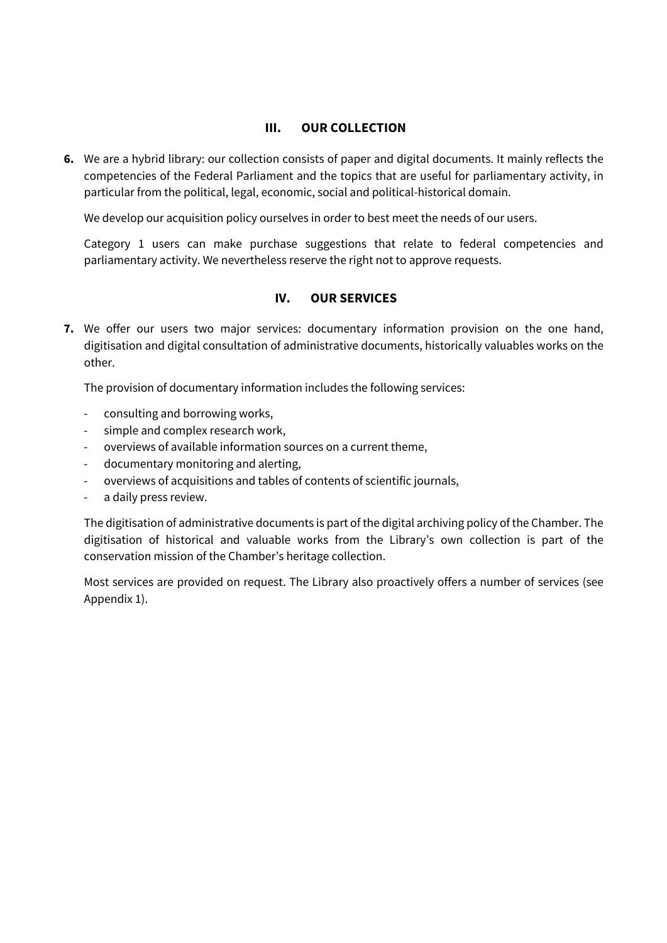## **III. OUR COLLECTION**

**6.** We are a hybrid library: our collection consists of paper and digital documents. It mainly reflects the competencies of the Federal Parliament and the topics that are useful for parliamentary activity, in particular from the political, legal, economic, social and political-historical domain.

We develop our acquisition policy ourselves in order to best meet the needs of our users.

Category 1 users can make purchase suggestions that relate to federal competencies and parliamentary activity. We nevertheless reserve the right not to approve requests.

## **IV. OUR SERVICES**

**7.** We offer our users two major services: documentary information provision on the one hand, digitisation and digital consultation of administrative documents, historically valuables works on the other.

The provision of documentary information includes the following services:

- consulting and borrowing works,
- simple and complex research work,
- overviews of available information sources on a current theme,
- documentary monitoring and alerting,
- overviews of acquisitions and tables of contents of scientific journals,
- a daily press review.

The digitisation of administrative documents is part of the digital archiving policy of the Chamber. The digitisation of historical and valuable works from the Library's own collection is part of the conservation mission of the Chamber's heritage collection.

Most services are provided on request. The Library also proactively offers a number of services (see Appendix 1).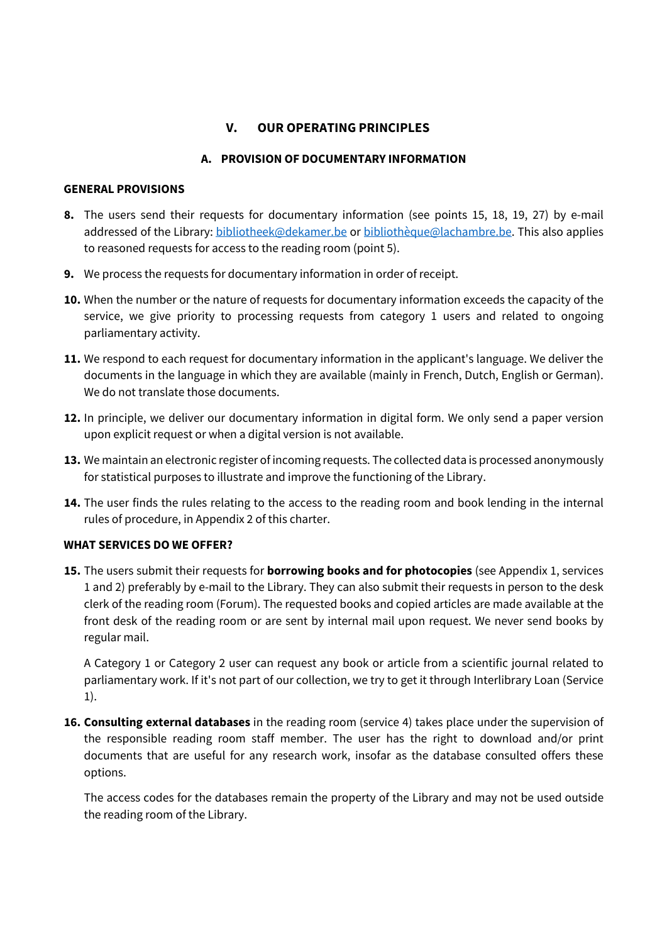# **V. OUR OPERATING PRINCIPLES**

### **A. PROVISION OF DOCUMENTARY INFORMATION**

#### **GENERAL PROVISIONS**

- **8.** The users send their requests for documentary information (see points 15, 18, 19, 27) by e-mail addressed of the Library: bibliotheek@dekamer.be or bibliothèque@lachambre.be. This also applies to reasoned requests for access to the reading room (point 5).
- **9.** We process the requests for documentary information in order of receipt.
- **10.** When the number or the nature of requests for documentary information exceeds the capacity of the service, we give priority to processing requests from category 1 users and related to ongoing parliamentary activity.
- **11.** We respond to each request for documentary information in the applicant's language. We deliver the documents in the language in which they are available (mainly in French, Dutch, English or German). We do not translate those documents.
- **12.** In principle, we deliver our documentary information in digital form. We only send a paper version upon explicit request or when a digital version is not available.
- **13.** We maintain an electronic register of incoming requests. The collected data is processed anonymously for statistical purposes to illustrate and improve the functioning of the Library.
- **14.** The user finds the rules relating to the access to the reading room and book lending in the internal rules of procedure, in Appendix 2 of this charter.

## **WHAT SERVICES DO WE OFFER?**

**15.** The users submit their requests for **borrowing books and for photocopies** (see Appendix 1, services 1 and 2) preferably by e-mail to the Library. They can also submit their requests in person to the desk clerk of the reading room (Forum). The requested books and copied articles are made available at the front desk of the reading room or are sent by internal mail upon request. We never send books by regular mail.

A Category 1 or Category 2 user can request any book or article from a scientific journal related to parliamentary work. If it's not part of our collection, we try to get it through Interlibrary Loan (Service 1).

**16. Consulting external databases** in the reading room (service 4) takes place under the supervision of the responsible reading room staff member. The user has the right to download and/or print documents that are useful for any research work, insofar as the database consulted offers these options.

The access codes for the databases remain the property of the Library and may not be used outside the reading room of the Library.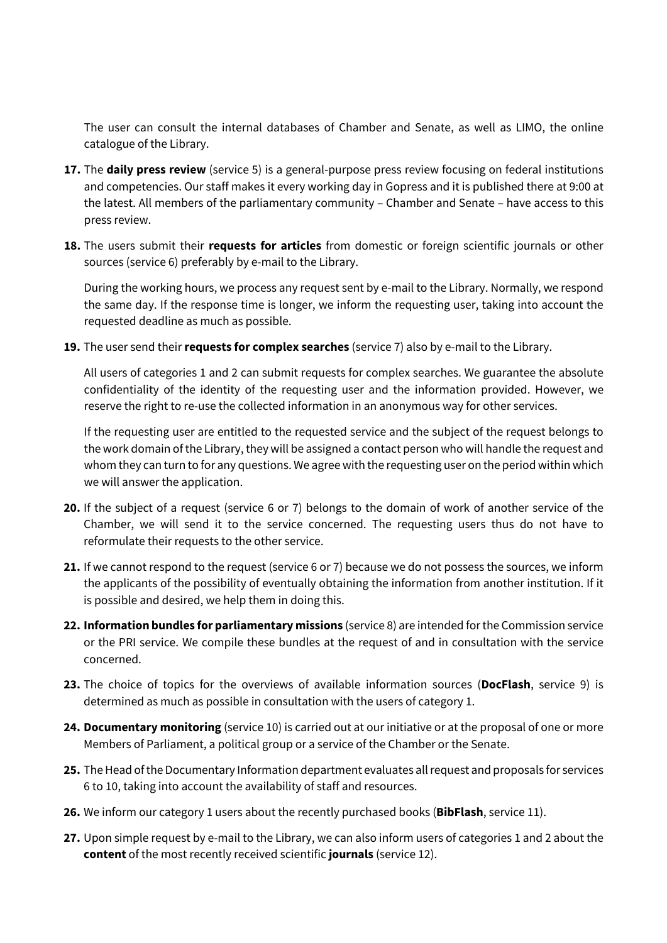The user can consult the internal databases of Chamber and Senate, as well as LIMO, the online catalogue of the Library.

- **17.** The **daily press review** (service 5) is a general-purpose press review focusing on federal institutions and competencies. Our staff makes it every working day in Gopress and it is published there at 9:00 at the latest. All members of the parliamentary community – Chamber and Senate – have access to this press review.
- **18.** The users submit their **requests for articles** from domestic or foreign scientific journals or other sources (service 6) preferably by e-mail to the Library.

During the working hours, we process any request sent by e-mail to the Library. Normally, we respond the same day. If the response time is longer, we inform the requesting user, taking into account the requested deadline as much as possible.

**19.** The user send their**requests for complex searches** (service 7) also by e-mail to the Library.

All users of categories 1 and 2 can submit requests for complex searches. We guarantee the absolute confidentiality of the identity of the requesting user and the information provided. However, we reserve the right to re-use the collected information in an anonymous way for other services.

If the requesting user are entitled to the requested service and the subject of the request belongs to the work domain of the Library, they will be assigned a contact person who will handle the request and whom they can turn to for any questions. We agree with the requesting user on the period within which we will answer the application.

- **20.** If the subject of a request (service 6 or 7) belongs to the domain of work of another service of the Chamber, we will send it to the service concerned. The requesting users thus do not have to reformulate their requests to the other service.
- **21.** If we cannot respond to the request (service 6 or 7) because we do not possess the sources, we inform the applicants of the possibility of eventually obtaining the information from another institution. If it is possible and desired, we help them in doing this.
- **22. Information bundles for parliamentary missions** (service 8) are intended for the Commission service or the PRI service. We compile these bundles at the request of and in consultation with the service concerned.
- **23.** The choice of topics for the overviews of available information sources (**DocFlash**, service 9) is determined as much as possible in consultation with the users of category 1.
- **24. Documentary monitoring** (service 10) is carried out at our initiative or at the proposal of one or more Members of Parliament, a political group or a service of the Chamber or the Senate.
- **25.** The Head of the Documentary Information department evaluates all request and proposals for services 6 to 10, taking into account the availability of staff and resources.
- **26.** We inform our category 1 users about the recently purchased books (**BibFlash**, service 11).
- **27.** Upon simple request by e-mail to the Library, we can also inform users of categories 1 and 2 about the **content** of the most recently received scientific **journals** (service 12).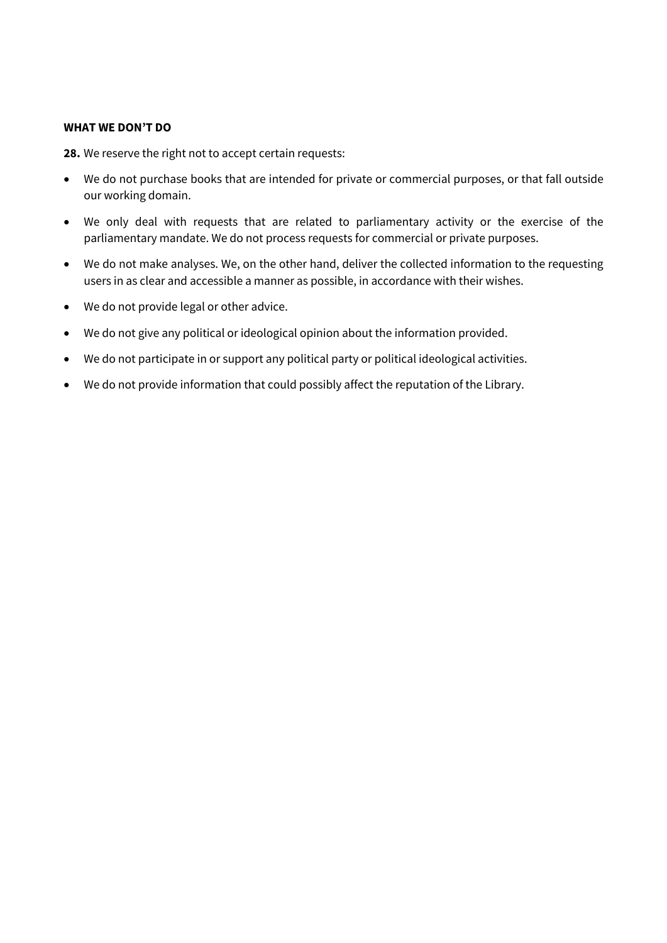#### **WHAT WE DON'T DO**

**28.** We reserve the right not to accept certain requests:

- We do not purchase books that are intended for private or commercial purposes, or that fall outside our working domain.
- We only deal with requests that are related to parliamentary activity or the exercise of the parliamentary mandate. We do not process requests for commercial or private purposes.
- We do not make analyses. We, on the other hand, deliver the collected information to the requesting users in as clear and accessible a manner as possible, in accordance with their wishes.
- We do not provide legal or other advice.
- We do not give any political or ideological opinion about the information provided.
- We do not participate in or support any political party or political ideological activities.
- We do not provide information that could possibly affect the reputation of the Library.